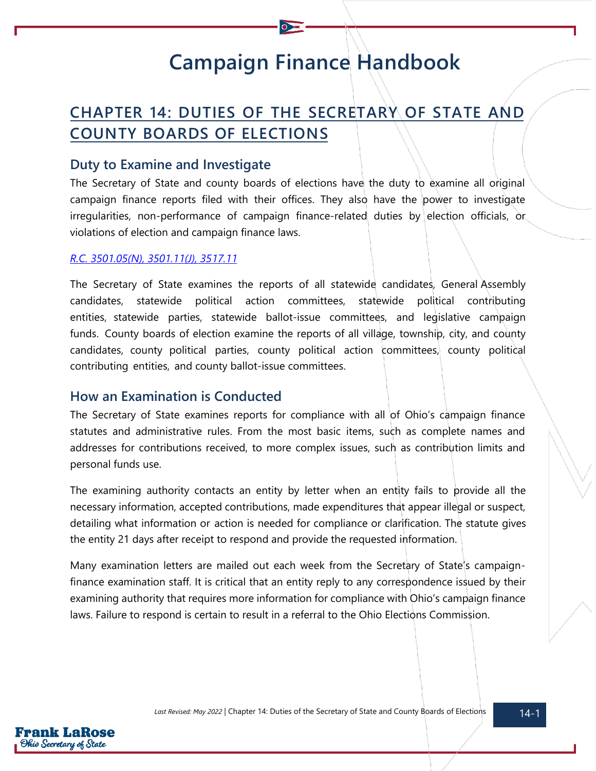# **Campaign Finance Handbook**

## **CHAPTER 14: DUTIES OF THE SECRETARY OF STATE AND COUNTY BOARDS OF ELECTIONS**

### **Duty to Examine and Investigate**

The Secretary of State and county boards of elections have the duty to examine all original campaign finance reports filed with their offices. They also have the power to investigate irregularities, non-performance of campaign finance-related duties by election officials, or violations of election and campaign finance laws.

#### *[R.C. 3501.05\(N\),](https://codes.ohio.gov/ohio-revised-code/section-3501.05) [3501.11\(J\),](https://codes.ohio.gov/ohio-revised-code/section-3501.11) [3517.11](https://codes.ohio.gov/ohio-revised-code/section-3517.11)*

The Secretary of State examines the reports of all statewide candidates, General Assembly candidates, statewide political action committees, statewide political contributing entities, statewide parties, statewide ballot-issue committees, and legislative campaign funds. County boards of election examine the reports of all village, township, city, and county candidates, county political parties, county political action committees, county political contributing entities, and county ballot-issue committees.

## **How an Examination is Conducted**

The Secretary of State examines reports for compliance with all of Ohio's campaign finance statutes and administrative rules. From the most basic items, such as complete names and addresses for contributions received, to more complex issues, such as contribution limits and personal funds use.

The examining authority contacts an entity by letter when an entity fails to provide all the necessary information, accepted contributions, made expenditures that appear illegal or suspect, detailing what information or action is needed for compliance or clarification. The statute gives the entity 21 days after receipt to respond and provide the requested information.

Many examination letters are mailed out each week from the Secretary of State's campaignfinance examination staff. It is critical that an entity reply to any correspondence issued by their examining authority that requires more information for compliance with Ohio's campaign finance laws. Failure to respond is certain to result in a referral to the Ohio Elections Commission.

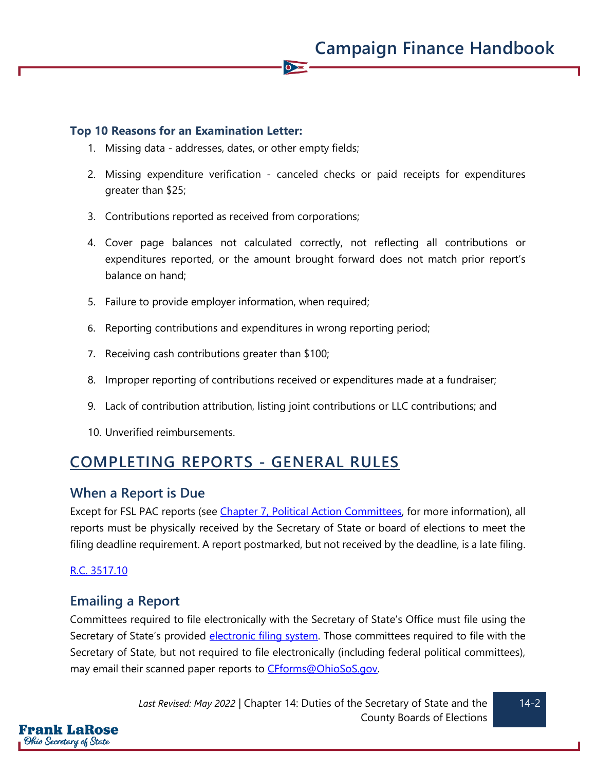#### **Top 10 Reasons for an Examination Letter:**

- 1. Missing data addresses, dates, or other empty fields;
- 2. Missing expenditure verification canceled checks or paid receipts for expenditures greater than \$25;

 $\overline{\bullet}$ 

- 3. Contributions reported as received from corporations;
- 4. Cover page balances not calculated correctly, not reflecting all contributions or expenditures reported, or the amount brought forward does not match prior report's balance on hand;
- 5. Failure to provide employer information, when required;
- 6. Reporting contributions and expenditures in wrong reporting period;
- 7. Receiving cash contributions greater than \$100;
- 8. Improper reporting of contributions received or expenditures made at a fundraiser;
- 9. Lack of contribution attribution, listing joint contributions or LLC contributions; and
- 10. Unverified reimbursements.

## **COMPLETING REPORTS - GENERAL RULES**

#### **When a Report is Due**

Except for FSL PAC reports (see Chapter 7, Political [Action Committees,](https://www.ohiosos.gov/globalassets/candidates/cfguide/chapters/chapter7.pdf) for more information), all reports must be physically received by the Secretary of State or board of elections to meet the filing deadline requirement. A report postmarked, but not received by the deadline, is a late filing.

#### [R.C. 3517.10](https://codes.ohio.gov/ohio-revised-code/section-3517.10)

## **Emailing a Report**

Committees required to file electronically with the Secretary of State's Office must file using the Secretary of State's provided [electronic filing system.](https://www.ohiosos.gov/campaign-finance/file-online-cfofs/) Those committees required to file with the Secretary of State, but not required to file electronically (including federal political committees), may email their scanned paper reports to [CFforms@OhioSoS.gov.](mailto:CFforms@OhioSoS.gov)

> *Last Revised: May 2022* | Chapter 14: Duties of the Secretary of State and the County Boards of Elections

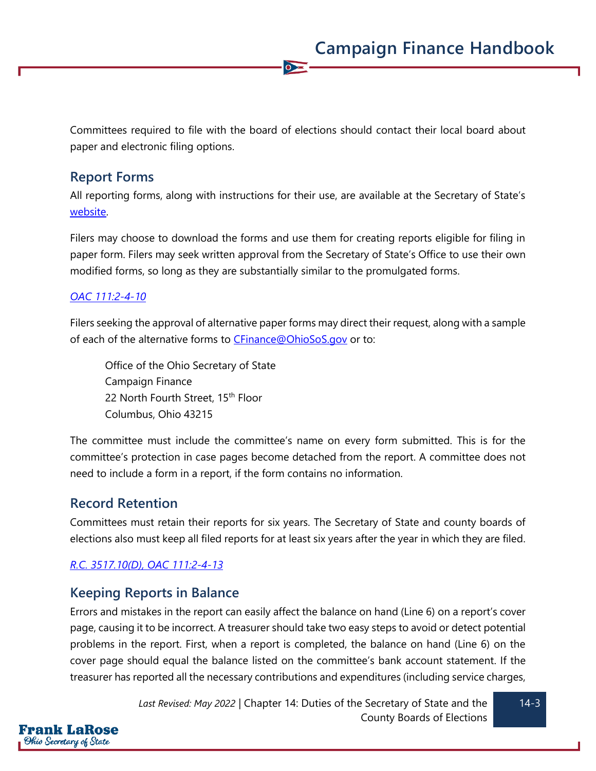Committees required to file with the board of elections should contact their local board about paper and electronic filing options.

 $\overline{\bullet}$ 

## **Report Forms**

All reporting forms, along with instructions for their use, are available at the Secretary of State's [website.](https://www.ohiosos.gov/campaign-finance/filing-forms/)

Filers may choose to download the forms and use them for creating reports eligible for filing in paper form. Filers may seek written approval from the Secretary of State's Office to use their own modified forms, so long as they are substantially similar to the promulgated forms.

#### *[OAC 111:2-4-10](https://codes.ohio.gov/ohio-administrative-code/rule-111:2-4-10)*

Filers seeking the approval of alternative paper forms may direct their request, along with a sample of each of the alternative forms to [CFinance@OhioSoS.gov](mailto:CFinance@OhioSoS.gov) or to:

Office of the Ohio Secretary of State Campaign Finance 22 North Fourth Street, 15<sup>th</sup> Floor Columbus, Ohio 43215

The committee must include the committee's name on every form submitted. This is for the committee's protection in case pages become detached from the report. A committee does not need to include a form in a report, if the form contains no information.

## **Record Retention**

Frank LaRose Ohio Secretary of State

Committees must retain their reports for six years. The Secretary of State and county boards of elections also must keep all filed reports for at least six years after the year in which they are filed.

## *[R.C. 3517.10\(D\),](https://codes.ohio.gov/ohio-revised-code/section-3517.10) [OAC 111:2-4-13](https://codes.ohio.gov/ohio-administrative-code/rule-111:2-4-13)*

## **Keeping Reports in Balance**

Errors and mistakes in the report can easily affect the balance on hand (Line 6) on a report's cover page, causing it to be incorrect. A treasurer should take two easy steps to avoid or detect potential problems in the report. First, when a report is completed, the balance on hand (Line 6) on the cover page should equal the balance listed on the committee's bank account statement. If the treasurer has reported all the necessary contributions and expenditures (including service charges,

> *Last Revised: May 2022* | Chapter 14: Duties of the Secretary of State and the County Boards of Elections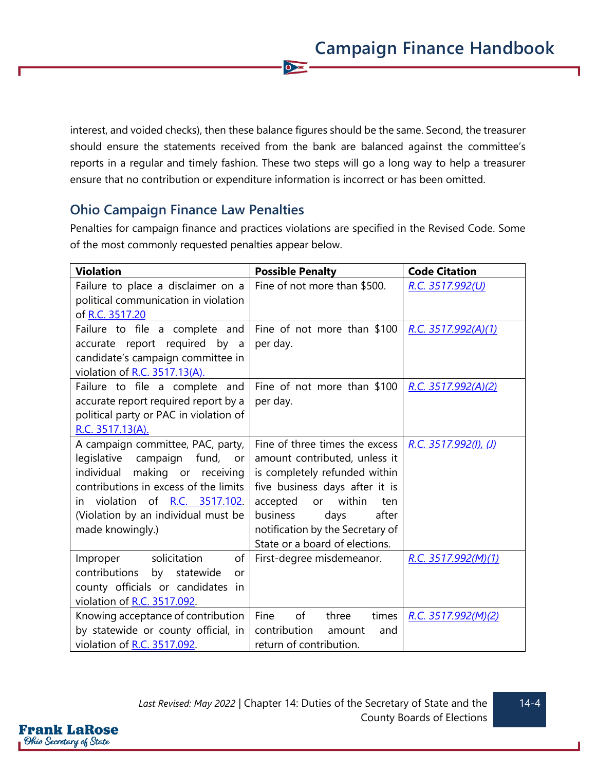interest, and voided checks), then these balance figures should be the same. Second, the treasurer should ensure the statements received from the bank are balanced against the committee's reports in a regular and timely fashion. These two steps will go a long way to help a treasurer ensure that no contribution or expenditure information is incorrect or has been omitted.

 $\sum$ 

## **Ohio Campaign Finance Law Penalties**

Penalties for campaign finance and practices violations are specified in the Revised Code. Some of the most commonly requested penalties appear below.

| <b>Violation</b>                       | <b>Possible Penalty</b>          | <b>Code Citation</b>     |
|----------------------------------------|----------------------------------|--------------------------|
| Failure to place a disclaimer on a     | Fine of not more than \$500.     | R.C. 3517.992(U)         |
| political communication in violation   |                                  |                          |
| of R.C. 3517.20                        |                                  |                          |
| Failure to file a complete and         | Fine of not more than \$100      | R.C. 3517.992(A)(1)      |
| accurate report required by a          | per day.                         |                          |
| candidate's campaign committee in      |                                  |                          |
| violation of R.C. 3517.13(A).          |                                  |                          |
| Failure to file a complete and         | Fine of not more than \$100      | R.C. $3517.992(A)(2)$    |
| accurate report required report by a   | per day.                         |                          |
| political party or PAC in violation of |                                  |                          |
| R.C. 3517.13(A).                       |                                  |                          |
| A campaign committee, PAC, party,      | Fine of three times the excess   | R.C. $3517.992(1)$ , (J) |
| legislative campaign<br>fund, or       | amount contributed, unless it    |                          |
| individual<br>making or receiving      | is completely refunded within    |                          |
| contributions in excess of the limits  | five business days after it is   |                          |
| violation of R.C. 3517.102.<br>in i    | within<br>accepted<br>or<br>ten  |                          |
| (Violation by an individual must be    | business<br>after<br>days        |                          |
| made knowingly.)                       | notification by the Secretary of |                          |
|                                        | State or a board of elections.   |                          |
| solicitation<br>of<br>Improper         | First-degree misdemeanor.        | R.C. 3517.992(M)(1)      |
| contributions<br>by statewide<br>or    |                                  |                          |
| county officials or candidates<br>in   |                                  |                          |
| violation of R.C. 3517.092.            |                                  |                          |
| Knowing acceptance of contribution     | Fine<br>of<br>times<br>three     | R.C. 3517.992(M)(2)      |
| by statewide or county official, in    | contribution<br>amount<br>and    |                          |
| violation of R.C. 3517.092.            | return of contribution.          |                          |